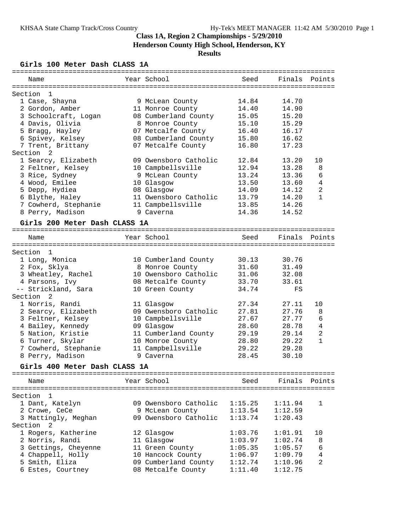# **Class 1A, Region 2 Championships - 5/29/2010 Henderson County High School, Henderson, KY**

# **Results**

## **Girls 100 Meter Dash CLASS 1A**

| Name                          | Year School           | Seed    | Finals  | Points         |
|-------------------------------|-----------------------|---------|---------|----------------|
|                               |                       |         |         |                |
| $\mathbf{1}$<br>Section       |                       |         |         |                |
| 1 Case, Shayna                | 9 McLean County       | 14.84   | 14.70   |                |
| 2 Gordon, Amber               | 11 Monroe County      | 14.40   | 14.90   |                |
| 3 Schoolcraft, Logan          | 08 Cumberland County  | 15.05   | 15.20   |                |
| 4 Davis, Olivia               | 8 Monroe County       | 15.10   | 15.29   |                |
| 5 Bragg, Hayley               | 07 Metcalfe County    | 16.40   | 16.17   |                |
| 6 Spivey, Kelsey              | 08 Cumberland County  | 15.80   | 16.62   |                |
| 7 Trent, Brittany             | 07 Metcalfe County    | 16.80   | 17.23   |                |
| Section<br>2                  |                       |         |         |                |
| 1 Searcy, Elizabeth           | 09 Owensboro Catholic | 12.84   | 13.20   | 10             |
| 2 Feltner, Kelsey             | 10 Campbellsville     | 12.94   | 13.28   | 8              |
| 3 Rice, Sydney                | 9 McLean County       | 13.24   | 13.36   | 6              |
| 4 Wood, Emilee                | 10 Glasgow            | 13.50   | 13.60   | 4              |
| 5 Depp, Hydiea                | 08 Glasgow            | 14.09   | 14.12   | 2              |
| 6 Blythe, Haley               | 11 Owensboro Catholic | 13.79   | 14.20   | $\mathbf{1}$   |
| 7 Cowherd, Stephanie          | 11 Campbellsville     | 13.85   | 14.26   |                |
| 8 Perry, Madison              | 9 Caverna             | 14.36   | 14.52   |                |
|                               |                       |         |         |                |
| Girls 200 Meter Dash CLASS 1A |                       |         |         |                |
|                               |                       |         |         |                |
| Name                          | Year School           | Seed    | Finals  | Points         |
|                               |                       |         |         |                |
| 1<br>Section                  |                       |         |         |                |
| 1 Long, Monica                | 10 Cumberland County  | 30.13   | 30.76   |                |
| 2 Fox, Sklya                  | 8 Monroe County       | 31.60   | 31.49   |                |
| 3 Wheatley, Rachel            | 10 Owensboro Catholic | 31.06   | 32.08   |                |
| 4 Parsons, Ivy                | 08 Metcalfe County    | 33.70   | 33.61   |                |
| -- Strickland, Sara           | 10 Green County       | 34.74   | FS      |                |
| Section <sub>2</sub>          |                       |         |         |                |
| 1 Norris, Randi               | 11 Glasgow            | 27.34   | 27.11   | 10             |
| 2 Searcy, Elizabeth           | 09 Owensboro Catholic | 27.81   | 27.76   | 8              |
| 3 Feltner, Kelsey             | 10 Campbellsville     | 27.67   | 27.77   | 6              |
| 4 Bailey, Kennedy             | 09 Glasgow            | 28.60   | 28.78   | $\bf 4$        |
| 5 Nation, Kristie             | 11 Cumberland County  | 29.19   | 29.14   | 2              |
| 6 Turner, Skylar              | 10 Monroe County      | 28.80   | 29.22   | $\mathbf{1}$   |
| 7 Cowherd, Stephanie          | 11 Campbellsville     | 29.22   | 29.28   |                |
| 8 Perry, Madison              | 9 Caverna             | 28.45   | 30.10   |                |
|                               |                       |         |         |                |
| Girls 400 Meter Dash CLASS 1A |                       |         |         |                |
|                               |                       |         |         |                |
| Name                          | Year School           | Seed    | Finals  | Points         |
|                               |                       |         |         |                |
| Section<br>-1                 |                       |         |         |                |
| 1 Dant, Katelyn               | 09 Owensboro Catholic | 1:15.25 | 1:11.94 | 1              |
| 2 Crowe, CeCe                 | 9 McLean County       | 1:13.54 | 1:12.59 |                |
| 3 Mattingly, Meghan           | 09 Owensboro Catholic | 1:13.74 | 1:20.43 |                |
| 2<br>Section                  |                       |         |         |                |
| 1 Rogers, Katherine           | 12 Glasgow            | 1:03.76 | 1:01.91 | 10             |
| 2 Norris, Randi               | 11 Glasgow            | 1:03.97 | 1:02.74 | 8              |
| 3 Gettings, Cheyenne          | 11 Green County       | 1:05.35 | 1:05.57 | 6              |
| 4 Chappell, Holly             | 10 Hancock County     | 1:06.97 | 1:09.79 | 4              |
| 5 Smith, Eliza                | 09 Cumberland County  | 1:12.74 | 1:10.96 | $\overline{2}$ |
| 6 Estes, Courtney             | 08 Metcalfe County    | 1:11.40 | 1:12.75 |                |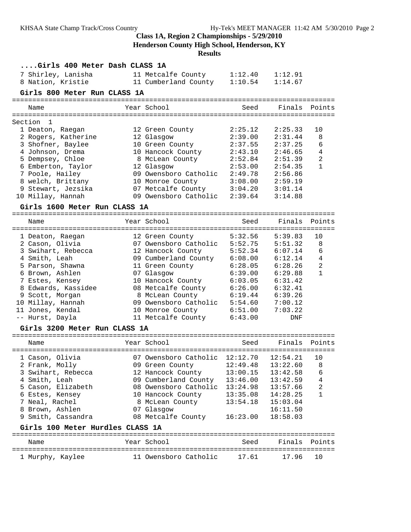**Henderson County High School, Henderson, KY**

| Girls 400 Meter Dash CLASS 1A    |                                     |          |          |                |
|----------------------------------|-------------------------------------|----------|----------|----------------|
| 7 Shirley, Lanisha               | 11 Metcalfe County                  | 1:12.40  | 1:12.91  |                |
| 8 Nation, Kristie                | 11 Cumberland County                | 1:10.54  | 1:14.67  |                |
| Girls 800 Meter Run CLASS 1A     |                                     |          |          |                |
|                                  |                                     |          |          |                |
| Name                             | Year School                         | Seed     |          | Finals Points  |
|                                  |                                     |          |          |                |
| Section 1                        |                                     |          |          |                |
| 1 Deaton, Raegan                 | 12 Green County                     | 2:25.12  | 2:25.33  | 10             |
| 2 Rogers, Katherine              | 12 Glasgow                          | 2:39.00  | 2:31.44  | 8              |
| 3 Shofner, Baylee                | 10 Green County                     | 2:37.55  | 2:37.25  | 6              |
| 4 Johnson, Drema                 | 10 Hancock County                   | 2:43.10  | 2:46.65  | $\overline{4}$ |
| 5 Dempsey, Chloe                 | 8 McLean County                     | 2:52.84  | 2:51.39  | $\overline{2}$ |
| 6 Emberton, Taylor               | 12 Glasgow                          | 2:53.00  | 2:54.35  | $\mathbf{1}$   |
| 7 Poole, Hailey                  | 09 Owensboro Catholic               | 2:49.78  | 2:56.86  |                |
| 8 welch, Brittany                | 10 Monroe County                    | 3:08.00  | 2:59.19  |                |
| 9 Stewart, Jezsika               | 07 Metcalfe County                  | 3:04.20  | 3:01.14  |                |
| 10 Millay, Hannah                | 09 Owensboro Catholic               | 2:39.64  | 3:14.88  |                |
|                                  |                                     |          |          |                |
| Girls 1600 Meter Run CLASS 1A    |                                     |          |          |                |
| Name                             | Year School                         | Seed     | Finals   | Points         |
|                                  |                                     |          |          |                |
| 1 Deaton, Raegan                 | 12 Green County                     | 5:32.56  | 5:39.83  | 10             |
| 2 Cason, Olivia                  | 07 Owensboro Catholic               | 5:52.75  | 5:51.32  | 8              |
| 3 Swihart, Rebecca               | 12 Hancock County                   | 5:52.34  | 6:07.14  | 6              |
| 4 Smith, Leah                    | 09 Cumberland County                | 6:08.00  | 6:12.14  | $\overline{4}$ |
| 5 Parson, Shawna                 | 11 Green County                     | 6:28.05  | 6:28.26  | $\mathbf{2}$   |
| 6 Brown, Ashlen                  | 07 Glasgow                          | 6:39.00  | 6:29.88  | $\mathbf{1}$   |
| 7 Estes, Kensey                  | 10 Hancock County                   | 6:03.05  | 6:31.42  |                |
| 8 Edwards, Kassidee              | 08 Metcalfe County                  | 6:26.00  | 6:32.41  |                |
| 9 Scott, Morgan                  | 8 McLean County                     | 6:19.44  | 6:39.26  |                |
| 10 Millay, Hannah                | 09 Owensboro Catholic               | 5:54.60  | 7:00.12  |                |
| 11 Jones, Kendal                 | 10 Monroe County                    | 6:51.00  | 7:03.22  |                |
| -- Hurst, Dayla                  | 11 Metcalfe County                  | 6:43.00  | DNF      |                |
|                                  |                                     |          |          |                |
| Girls 3200 Meter Run CLASS 1A    |                                     |          |          |                |
|                                  |                                     |          |          |                |
| Name                             | Year School                         | Seed     | Finals   | Points         |
| 1 Cason, Olivia                  | 07 Owensboro Catholic 12:12.70      |          | 12:54.21 | 10             |
| 2 Frank, Molly                   | 09 Green County 12:49.48 13:22.60 8 |          |          |                |
| 3 Swihart, Rebecca               | 12 Hancock County                   | 13:00.15 | 13:42.58 | 6              |
| 4 Smith, Leah                    | 09 Cumberland County                | 13:46.00 | 13:42.59 | 4              |
| 5 Cason, Elizabeth               | 08 Owensboro Catholic               | 13:24.98 | 13:57.66 | $\overline{2}$ |
| 6 Estes, Kensey                  | 10 Hancock County                   | 13:35.08 | 14:28.25 | 1              |
| 7 Neal, Rachel                   | 8 McLean County                     | 13:54.18 | 15:03.04 |                |
| 8 Brown, Ashlen                  | 07 Glasgow                          |          | 16:11.50 |                |
|                                  |                                     |          |          |                |
| 9 Smith, Cassandra               | 08 Metcalfe County                  | 16:23.00 | 18:58.03 |                |
| Girls 100 Meter Hurdles CLASS 1A |                                     |          |          |                |
|                                  |                                     |          |          |                |
| Name                             | Year School                         | Seed     | Finals   | Points         |
|                                  | 11 Owensboro Catholic               | 17.61    | 17.96    | 10             |
| 1 Murphy, Kaylee                 |                                     |          |          |                |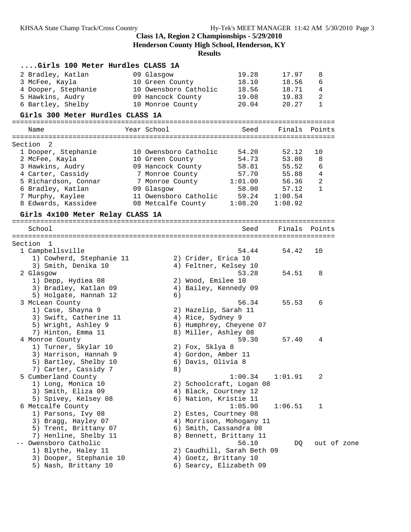# **Class 1A, Region 2 Championships - 5/29/2010 Henderson County High School, Henderson, KY**

| Girls 100 Meter Hurdles CLASS 1A             |                                           |                            |                |             |  |
|----------------------------------------------|-------------------------------------------|----------------------------|----------------|-------------|--|
| 2 Bradley, Katlan                            | 09 Glasgow                                | 19.28                      | 17.97          | 8           |  |
| 3 McFee, Kayla                               | 10 Green County                           | 18.10                      | 18.56          | 6           |  |
| 4 Dooper, Stephanie                          | 10 Owensboro Catholic                     | 18.56                      | 18.71          | 4           |  |
| 5 Hawkins, Audry                             | 09 Hancock County                         | 19.08                      | 19.83          | 2           |  |
| 6 Bartley, Shelby                            | 10 Monroe County                          | 20.04                      | 20.27          | 1           |  |
| Girls 300 Meter Hurdles CLASS 1A             |                                           |                            |                |             |  |
| Name                                         | Year School                               | Seed                       | Finals Points  |             |  |
|                                              |                                           |                            |                |             |  |
| Section<br>2                                 |                                           | 54.20                      |                |             |  |
| 1 Dooper, Stephanie<br>2 McFee, Kayla        | 10 Owensboro Catholic<br>10 Green County  | 54.73                      | 52.12<br>53.80 | 10<br>8     |  |
| 3 Hawkins, Audry                             | 09 Hancock County                         | 58.81                      | 55.52          | 6           |  |
| 4 Carter, Cassidy                            | 7 Monroe County                           | 57.70                      | 55.88          | 4           |  |
| 5 Richardson, Connar                         | 7 Monroe County 1:01.00                   |                            | 56.36          | 2           |  |
| 6 Bradley, Katlan                            | 09 Glasgow                                | 58.00                      | 57.12          | 1           |  |
| 7 Murphy, Kaylee                             | 11 Owensboro Catholic                     | 59.24                      | 1:00.54        |             |  |
| 8 Edwards, Kassidee                          | 08 Metcalfe County 1:08.20                |                            | 1:08.92        |             |  |
| Girls 4x100 Meter Relay CLASS 1A             |                                           |                            |                |             |  |
|                                              |                                           |                            |                |             |  |
| School                                       |                                           | Seed                       | Finals         | Points      |  |
| Section 1                                    |                                           |                            |                |             |  |
| 1 Campbellsville                             |                                           | 54.44                      | 54.42          | 10          |  |
| 1) Cowherd, Stephanie 11                     | 2) Crider, Erica 10                       |                            |                |             |  |
| 3) Smith, Denika 10                          | 4) Feltner, Kelsey 10                     |                            |                |             |  |
| 2 Glasgow                                    |                                           | 53.28                      | 54.51          | 8           |  |
| 1) Depp, Hydiea 08                           | 2) Wood, Emilee 10                        |                            |                |             |  |
| 3) Bradley, Katlan 09                        | 4) Bailey, Kennedy 09                     |                            |                |             |  |
| 5) Holgate, Hannah 12                        | 6)                                        |                            |                |             |  |
| 3 McLean County                              |                                           | 56.34                      | 55.53          | 6           |  |
| 1) Case, Shayna 9<br>3) Swift, Catherine 11  | 2) Hazelip, Sarah 11<br>4) Rice, Sydney 9 |                            |                |             |  |
| 5) Wright, Ashley 9                          | 6) Humphrey, Cheyene 07                   |                            |                |             |  |
| 7) Hinton, Emma 11                           | 8) Miller, Ashley 08                      |                            |                |             |  |
| 4 Monroe County                              |                                           | 59.30                      | 57.40          | 4           |  |
| 1) Turner, Skylar 10                         | 2) Fox, Sklya 8                           |                            |                |             |  |
| 3) Harrison, Hannah 9                        | 4) Gordon, Amber 11                       |                            |                |             |  |
| 5) Bartley, Shelby 10                        | 6) Davis, Olivia 8                        |                            |                |             |  |
| 7) Carter, Cassidy 7                         | 8)                                        |                            |                |             |  |
| 5 Cumberland County                          |                                           | 1:00.34                    | 1:01.91        | 2           |  |
| 1) Long, Monica 10                           |                                           | 2) Schoolcraft, Logan 08   |                |             |  |
| 3) Smith, Eliza 09                           | 4) Black, Courtney 12                     |                            |                |             |  |
| 5) Spivey, Kelsey 08                         | 6) Nation, Kristie 11                     |                            |                |             |  |
| 6 Metcalfe County                            |                                           | 1:05.90                    | 1:06.51        | 1           |  |
| 1) Parsons, Ivy 08                           | 2) Estes, Courtney 08                     |                            |                |             |  |
| 3) Bragg, Hayley 07                          | 4) Morrison, Mohogany 11                  |                            |                |             |  |
| 5) Trent, Brittany 07                        | 6) Smith, Cassandra 08                    |                            |                |             |  |
| 7) Henline, Shelby 11                        | 8) Bennett, Brittany 11                   | 56.10                      |                |             |  |
| -- Owensboro Catholic<br>1) Blythe, Haley 11 |                                           | 2) Caudhill, Sarah Beth 09 | DQ             | out of zone |  |
| 3) Dooper, Stephanie 10                      | 4) Goetz, Brittany 10                     |                            |                |             |  |
| 5) Nash, Brittany 10                         | 6) Searcy, Elizabeth 09                   |                            |                |             |  |
|                                              |                                           |                            |                |             |  |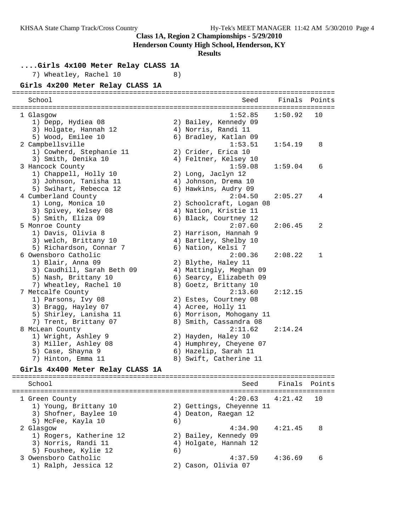**Henderson County High School, Henderson, KY**

#### **Results**

**....Girls 4x100 Meter Relay CLASS 1A**

7) Wheatley, Rachel 10 8)

#### **Girls 4x200 Meter Relay CLASS 1A**

| School                     | Seed                     | Finals Points |    |
|----------------------------|--------------------------|---------------|----|
|                            |                          |               |    |
| 1 Glasgow                  | 1:52.85                  | 1:50.92       | 10 |
| 1) Depp, Hydiea 08         | 2) Bailey, Kennedy 09    |               |    |
| 3) Holgate, Hannah 12      | 4) Norris, Randi 11      |               |    |
| 5) Wood, Emilee 10         | 6) Bradley, Katlan 09    |               |    |
| 2 Campbellsville           | 1:53.51                  | 1:54.19       | 8  |
| 1) Cowherd, Stephanie 11   | 2) Crider, Erica 10      |               |    |
| 3) Smith, Denika 10        | 4) Feltner, Kelsey 10    |               |    |
| 3 Hancock County           | 1:59.08                  | 1:59.04       | 6  |
| 1) Chappell, Holly 10      | 2) Long, Jaclyn 12       |               |    |
| 3) Johnson, Tanisha 11     | 4) Johnson, Drema 10     |               |    |
| 5) Swihart, Rebecca 12     | 6) Hawkins, Audry 09     |               |    |
| 4 Cumberland County        | 2:04.50                  | 2:05.27       | 4  |
| 1) Long, Monica 10         | 2) Schoolcraft, Logan 08 |               |    |
| 3) Spivey, Kelsey 08       | 4) Nation, Kristie 11    |               |    |
| 5) Smith, Eliza 09         | 6) Black, Courtney 12    |               |    |
| 5 Monroe County            | 2:07.60                  | 2:06.45       | 2  |
| 1) Davis, Olivia 8         | 2) Harrison, Hannah 9    |               |    |
| 3) welch, Brittany 10      | 4) Bartley, Shelby 10    |               |    |
| 5) Richardson, Connar 7    | 6) Nation, Kelsi 7       |               |    |
| 6 Owensboro Catholic       | 2:00.36                  | 2:08.22       | 1  |
| 1) Blair, Anna 09          | 2) Blythe, Haley 11      |               |    |
| 3) Caudhill, Sarah Beth 09 | 4) Mattingly, Meghan 09  |               |    |
| 5) Nash, Brittany 10       | 6) Searcy, Elizabeth 09  |               |    |
| 7) Wheatley, Rachel 10     | 8) Goetz, Brittany 10    |               |    |
| 7 Metcalfe County          | 2:13.60                  | 2:12.15       |    |
| 1) Parsons, Ivy 08         | 2) Estes, Courtney 08    |               |    |
| 3) Bragg, Hayley 07        | 4) Acree, Holly 11       |               |    |
| 5) Shirley, Lanisha 11     | 6) Morrison, Mohogany 11 |               |    |
| 7) Trent, Brittany 07      | 8) Smith, Cassandra 08   |               |    |
| 8 McLean County            | 2:11.62                  | 2:14.24       |    |
| 1) Wright, Ashley 9        | 2) Hayden, Haley 10      |               |    |
| 3) Miller, Ashley 08       | 4) Humphrey, Cheyene 07  |               |    |
| 5) Case, Shayna 9          | 6) Hazelip, Sarah 11     |               |    |
| 7) Hinton, Emma 11         | 8) Swift, Catherine 11   |               |    |

#### **Girls 4x400 Meter Relay CLASS 1A**

================================================================================ School Seed Finals Points ================================================================================ 1 Green County 4:20.63 4:21.42 10 1) Young, Brittany 10 2) Gettings, Cheyenne 11 3) Shofner, Baylee 10 (4) Deaton, Raegan 12 5) McFee, Kayla 10 (6) 2 Glasgow 4:34.90 4:21.45 8 1) Rogers, Katherine 12 2) Bailey, Kennedy 09 3) Norris, Randi 11 4) Holgate, Hannah 12 5) Foushee, Kylie 12 (6) 3 Owensboro Catholic 4:37.59 4:36.69 6 1) Ralph, Jessica 12 2) Cason, Olivia 07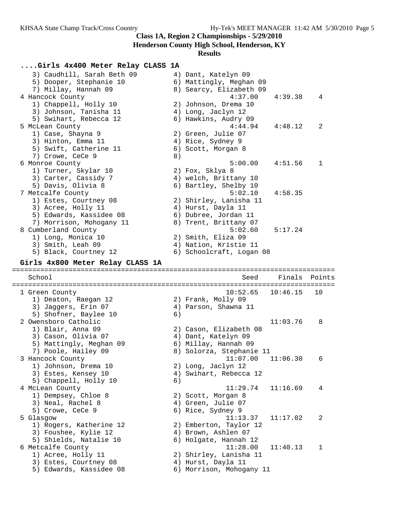**Henderson County High School, Henderson, KY**

| Girls 4x400 Meter Relay CLASS 1A                 |    |                                                |          |        |
|--------------------------------------------------|----|------------------------------------------------|----------|--------|
| 3) Caudhill, Sarah Beth 09                       |    | 4) Dant, Katelyn 09                            |          |        |
| 5) Dooper, Stephanie 10                          |    | 6) Mattingly, Meghan 09                        |          |        |
| 7) Millay, Hannah 09                             |    | 8) Searcy, Elizabeth 09                        |          |        |
| 4 Hancock County                                 |    | 4:37.00                                        | 4:39.38  | 4      |
| 1) Chappell, Holly 10                            |    | 2) Johnson, Drema 10                           |          |        |
| 3) Johnson, Tanisha 11                           |    | 4) Long, Jaclyn 12                             |          |        |
| 5) Swihart, Rebecca 12                           |    | 6) Hawkins, Audry 09                           |          |        |
| 5 McLean County                                  |    | 4:44.94                                        | 4:48.12  | 2      |
| 1) Case, Shayna 9                                |    | 2) Green, Julie 07                             |          |        |
| 3) Hinton, Emma 11                               |    | 4) Rice, Sydney 9                              |          |        |
| 5) Swift, Catherine 11                           |    | 6) Scott, Morgan 8                             |          |        |
| 7) Crowe, CeCe 9                                 | 8) |                                                |          |        |
| 6 Monroe County                                  |    | 5:00.00                                        | 4:51.56  | 1      |
| 1) Turner, Skylar 10                             |    | 2) Fox, Sklya 8                                |          |        |
| 3) Carter, Cassidy 7                             |    | 4) welch, Brittany 10                          |          |        |
| 5) Davis, Olivia 8                               |    | 6) Bartley, Shelby 10                          |          |        |
| 7 Metcalfe County                                |    | 5:02.10                                        | 4:58.35  |        |
| 1) Estes, Courtney 08                            |    | 2) Shirley, Lanisha 11                         |          |        |
| 3) Acree, Holly 11                               |    | 4) Hurst, Dayla 11                             |          |        |
| 5) Edwards, Kassidee 08                          |    | 6) Dubree, Jordan 11                           |          |        |
|                                                  |    | 8) Trent, Brittany 07                          |          |        |
| 7) Morrison, Mohogany 11                         |    |                                                |          |        |
| 8 Cumberland County                              |    | 5:02.60                                        | 5:17.24  |        |
| 1) Long, Monica 10                               |    | 2) Smith, Eliza 09                             |          |        |
| 3) Smith, Leah 09                                |    | 4) Nation, Kristie 11                          |          |        |
| 5) Black, Courtney 12                            |    | 6) Schoolcraft, Logan 08                       |          |        |
| Girls 4x800 Meter Relay CLASS 1A                 |    |                                                |          |        |
|                                                  |    |                                                |          |        |
|                                                  |    |                                                |          |        |
| School                                           |    | Seed                                           | Finals   | Points |
| 1 Green County                                   |    | 10:52.65                                       | 10:46.15 | 10     |
| 1) Deaton, Raegan 12                             |    | 2) Frank, Molly 09                             |          |        |
| 3) Jaggers, Erin 07                              |    | 4) Parson, Shawna 11                           |          |        |
| 5) Shofner, Baylee 10                            | 6) |                                                |          |        |
| 2 Owensboro Catholic                             |    |                                                | 11:03.76 | 8      |
| 1) Blair, Anna 09                                |    | 2) Cason, Elizabeth 08                         |          |        |
| 3) Cason, Olivia 07                              |    | 4) Dant, Katelyn 09                            |          |        |
| 5) Mattingly, Meghan 09                          |    | 6) Millay, Hannah 09                           |          |        |
| 7) Poole, Hailey 09                              |    | 8) Solorza, Stephanie 11                       |          |        |
| 3 Hancock County                                 |    | 11:07.00                                       | 11:06.30 | 6      |
| 1) Johnson, Drema 10                             |    |                                                |          |        |
|                                                  | 4) | 2) Long, Jaclyn 12                             |          |        |
| 3) Estes, Kensey 10<br>5) Chappell, Holly 10     | 6) | Swihart, Rebecca 12                            |          |        |
| 4 McLean County                                  |    | 11:29.74                                       | 11:16.69 | 4      |
|                                                  |    | 2) Scott, Morgan 8                             |          |        |
| 1) Dempsey, Chloe 8                              |    |                                                |          |        |
| 3) Neal, Rachel 8                                |    | 4) Green, Julie 07                             |          |        |
| 5) Crowe, CeCe 9                                 |    | 6) Rice, Sydney 9<br>11:13.37                  | 11:17.02 | 2      |
| 5 Glasgow                                        |    |                                                |          |        |
| 1) Rogers, Katherine 12                          |    | 2) Emberton, Taylor 12                         |          |        |
| 3) Foushee, Kylie 12                             |    | 4) Brown, Ashlen 07                            |          |        |
| 5) Shields, Natalie 10                           |    | 6) Holgate, Hannah 12<br>11:28.00              | 11:40.13 | 1      |
| 6 Metcalfe County                                |    |                                                |          |        |
| 1) Acree, Holly 11                               |    | 2) Shirley, Lanisha 11                         |          |        |
| 3) Estes, Courtney 08<br>5) Edwards, Kassidee 08 |    | 4) Hurst, Dayla 11<br>6) Morrison, Mohogany 11 |          |        |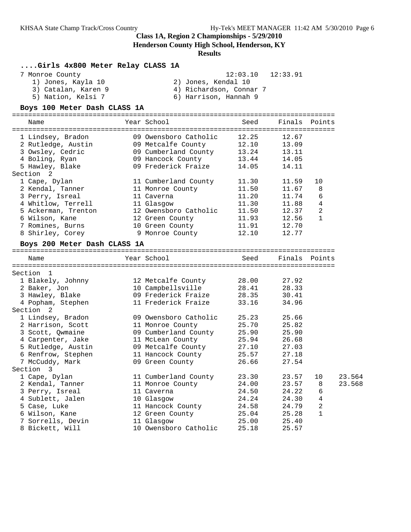**Henderson County High School, Henderson, KY**

#### **Results**

#### **....Girls 4x800 Meter Relay CLASS 1A**

| 7 Monroe County | $12:03.10$ $12:33.91$ |  |
|-----------------|-----------------------|--|
|-----------------|-----------------------|--|

 1) Jones, Kayla 10 2) Jones, Kendal 10 3) Catalan, Karen 9 4) Richardson, Connar 7 5) Nation, Kelsi 7 6) Harrison, Hannah 9

#### **Boys 100 Meter Dash CLASS 1A**

================================================================================ Name Year School Seed Finals Points ================================================================================ 1 Lindsey, Bradon 09 Owensboro Catholic 12.25 12.67 2 Rutledge, Austin 09 Metcalfe County 12.10 13.09 3 Owsley, Cedric 09 Cumberland County 13.24 13.11 4 Boling, Ryan 09 Hancock County 13.44 14.05 5 Hawley, Blake 09 Frederick Fraize 14.05 14.11 Section 2 1 Cape, Dylan 11 Cumberland County 11.30 11.59 10 2 Kendal, Tanner 11 Monroe County 11.50 11.67 8 3 Perry, Isreal 11 Caverna 11.20 11.74 6 4 Whitlow, Terrell 11 Glasgow 11.30 11.88 4 5 Ackerman, Trenton 12 Owensboro Catholic 11.50 12.37 2 6 Wilson, Kane 12 Green County 11.93 12.56 1 7 Romines, Burns 10 Green County 11.91 12.70 8 Shirley, Corey 9 Monroe County 12.10 12.77 **Boys 200 Meter Dash CLASS 1A** ================================================================================ Name The Year School Seed Finals Points ================================================================================ Section 1 1 Blakely, Johnny 12 Metcalfe County 28.00 27.92 2 Baker, Jon 10 Campbellsville 28.41 28.33 3 Hawley, Blake 09 Frederick Fraize 28.35 30.41 4 Popham, Stephen 11 Frederick Fraize 33.16 34.96 Section 2 1 Lindsey, Bradon 09 Owensboro Catholic 25.23 25.66 2 Harrison, Scott 11 Monroe County 25.70 25.82 3 Scott, Qwmaine 09 Cumberland County 25.90 25.90 4 Carpenter, Jake 11 McLean County 25.94 26.68 5 Rutledge, Austin 09 Metcalfe County 27.10 27.03 6 Renfrow, Stephen 11 Hancock County 25.57 27.18 7 McCuddy, Mark 09 Green County 26.66 27.54 Section 3 1 Cape, Dylan 11 Cumberland County 23.30 23.57 10 23.564 2 Kendal, Tanner 11 Monroe County 24.00 23.57 8 23.568 3 Perry, Isreal 11 Caverna 24.50 24.22 6 4 Sublett, Jalen 10 Glasgow 24.24 24.30 4 5 Case, Luke 11 Hancock County 24.58 24.79 2 6 Wilson, Kane 12 Green County 25.04 25.28 1 7 Sorrells, Devin 11 Glasgow 25.00 25.40 8 Bickett, Will 10 Owensboro Catholic 25.18 25.57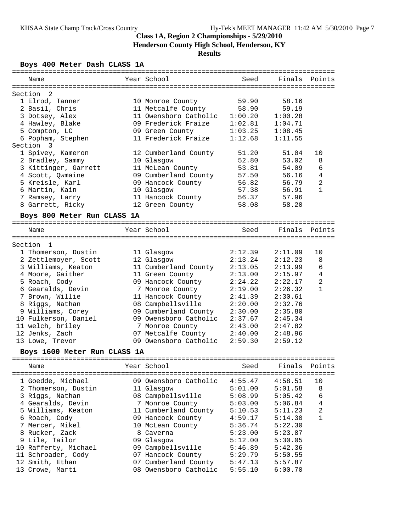# **Class 1A, Region 2 Championships - 5/29/2010 Henderson County High School, Henderson, KY**

# **Results**

# **Boys 400 Meter Dash CLASS 1A**

| ----------                                |                                             | ======== |                    |                |
|-------------------------------------------|---------------------------------------------|----------|--------------------|----------------|
| Name                                      | Year School                                 | Seed     | Finals             | Points         |
| Section<br>-2                             |                                             |          |                    |                |
| 1 Elrod, Tanner                           | 10 Monroe County                            | 59.90    | 58.16              |                |
| 2 Basil, Chris                            | 11 Metcalfe County                          | 58.90    | 59.19              |                |
| 3 Dotsey, Alex                            | 11 Owensboro Catholic                       | 1:00.20  | 1:00.28            |                |
| 4 Hawley, Blake                           | 09 Frederick Fraize                         | 1:02.81  | 1:04.71            |                |
| 5 Compton, LC                             | 09 Green County                             | 1:03.25  | 1:08.45            |                |
| 6 Popham, Stephen                         | 11 Frederick Fraize                         | 1:12.68  | 1:11.55            |                |
| Section<br>- 3                            |                                             |          |                    |                |
| 1 Spivey, Kameron                         | 12 Cumberland County                        | 51.20    | 51.04              | 10             |
| 2 Bradley, Sammy                          | 10 Glasgow                                  | 52.80    | 53.02              | 8              |
| 3 Kittinger, Garrett                      | 11 McLean County                            | 53.81    | 54.09              | 6              |
| 4 Scott, Qwmaine                          | 09 Cumberland County                        | 57.50    | 56.16              | 4              |
| 5 Kreisle, Karl                           | 09 Hancock County                           | 56.82    | 56.79              | $\overline{a}$ |
| 6 Martin, Kain                            | 10 Glasgow                                  | 57.38    | 56.91              | $\mathbf{1}$   |
| 7 Ramsey, Larry                           | 11 Hancock County                           | 56.37    | 57.96              |                |
| 8 Garrett, Ricky                          | 12 Green County                             | 58.08    | 58.20              |                |
|                                           |                                             |          |                    |                |
| Boys 800 Meter Run CLASS 1A               |                                             |          |                    |                |
|                                           | Year School                                 | Seed     | Finals             | Points         |
| Name                                      |                                             |          |                    |                |
| Section<br>$\mathbf{1}$                   |                                             |          |                    |                |
| 1 Thomerson, Dustin                       | 11 Glasgow                                  | 2:12.39  | 2:11.09            | 10             |
| 2 Zettlemoyer, Scott                      | 12 Glasgow                                  | 2:13.24  | 2:12.23            | 8              |
| 3 Williams, Keaton                        | 11 Cumberland County                        | 2:13.05  | 2:13.99            | 6              |
| 4 Moore, Gaither                          | 11 Green County                             | 2:13.00  | 2:15.97            | $\overline{4}$ |
| 5 Roach, Cody                             | 09 Hancock County                           | 2:24.22  | 2:22.17            | $\overline{2}$ |
| 6 Gearalds, Devin                         | 7 Monroe County                             | 2:19.00  | 2:26.32            | $\mathbf{1}$   |
| 7 Brown, Willie                           | 11 Hancock County                           | 2:41.39  | 2:30.61            |                |
| 8 Riggs, Nathan                           | 08 Campbellsville                           | 2:20.00  | 2:32.76            |                |
|                                           | 09 Cumberland County                        |          |                    |                |
| 9 Williams, Corey                         | 09 Owensboro Catholic                       | 2:30.00  | 2:35.80            |                |
| 10 Fulkerson, Daniel                      |                                             | 2:37.67  | 2:45.34            |                |
| 11 welch, briley                          | 7 Monroe County                             | 2:43.00  | 2:47.82            |                |
| 12 Jenks, Zach                            | 07 Metcalfe County<br>09 Owensboro Catholic | 2:40.00  | 2:48.96<br>2:59.12 |                |
| 13 Lowe, Trevor                           |                                             | 2:59.30  |                    |                |
| Boys 1600 Meter Run CLASS 1A              |                                             |          |                    |                |
| =================================<br>Name | Year School                                 | Seed     | Finals             | Points         |
| =====                                     |                                             |          |                    |                |
| 1 Goedde, Michael                         | 09 Owensboro Catholic                       | 4:55.47  | 4:58.51            | 10             |
| 2 Thomerson, Dustin                       | 11 Glasgow                                  | 5:01.00  | 5:01.58            | 8              |
| 3 Riggs, Nathan                           | 08 Campbellsville                           | 5:08.99  | 5:05.42            | 6              |
| 4 Gearalds, Devin                         | 7 Monroe County                             | 5:03.00  | 5:06.84            | $\,4$          |
| 5 Williams, Keaton                        | 11 Cumberland County                        | 5:10.53  | 5:11.23            | $\sqrt{2}$     |
| 6 Roach, Cody                             | 09 Hancock County                           | 4:59.17  | 5:14.30            | $\mathbf{1}$   |
| 7 Mercer, Mikel                           | 10 McLean County                            | 5:36.74  | 5:22.30            |                |
| 8 Rucker, Zack                            | 8 Caverna                                   | 5:23.00  | 5:23.87            |                |
| 9 Lile, Tailor                            | 09 Glasgow                                  | 5:12.00  | 5:30.05            |                |
| 10 Rafferty, Michael                      | 09 Campbellsville                           | 5:46.89  | 5:42.36            |                |
| 11 Schroader, Cody                        | 07 Hancock County                           | 5:29.79  | 5:50.55            |                |
| 12 Smith, Ethan                           | 07 Cumberland County                        | 5:47.13  | 5:57.87            |                |
|                                           | 08 Owensboro Catholic                       |          |                    |                |
| 13 Crowe, Marti                           |                                             | 5:55.10  | 6:00.70            |                |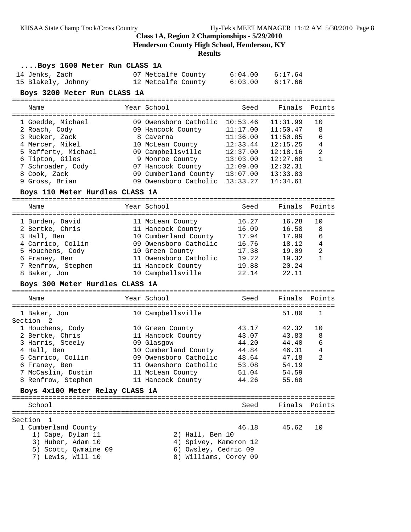**Henderson County High School, Henderson, KY**

| Boys 1600 Meter Run CLASS 1A         |                                               |          |                      |                                |
|--------------------------------------|-----------------------------------------------|----------|----------------------|--------------------------------|
| 14 Jenks, Zach                       | 07 Metcalfe County                            |          | $6:04.00$ $6:17.64$  |                                |
| 15 Blakely, Johnny                   | 12 Metcalfe County 6:03.00                    |          | 6:17.66              |                                |
| Boys 3200 Meter Run CLASS 1A         |                                               |          |                      |                                |
| Name                                 | Year School                                   | Seed     | Finals               | Points                         |
|                                      |                                               |          |                      |                                |
| 1 Goedde, Michael                    | 09 Owensboro Catholic 10:53.46                |          | 11:31.99             | 10                             |
| 2 Roach, Cody                        | 09 Hancock County                             | 11:17.00 | 11:50.47             | 8                              |
| 3 Rucker, Zack                       | 8 Caverna                                     | 11:36.00 | 11:50.85             | 6                              |
| 4 Mercer, Mikel                      | 10 McLean County                              | 12:33.44 | 12:15.25             | 4                              |
| 5 Rafferty, Michael                  | 09 Campbellsville                             | 12:37.00 | 12:18.16             | $\overline{a}$<br>$\mathbf{1}$ |
| 6 Tipton, Giles<br>7 Schroader, Cody | 9 Monroe County<br>07 Hancock County 12:09.00 | 13:03.00 | 12:27.60<br>12:32.31 |                                |
| 8 Cook, Zack                         | 09 Cumberland County 13:07.00                 |          | 13:33.83             |                                |
| 9 Gross, Brian                       | 09 Owensboro Catholic 13:33.27                |          | 14:34.61             |                                |
| Boys 110 Meter Hurdles CLASS 1A      |                                               |          |                      |                                |
|                                      |                                               |          |                      |                                |
| Name                                 | Year School                                   | Seed     | Finals               | Points                         |
| 1 Burden, David                      | 11 McLean County                              | 16.27    | 16.28                | 10                             |
| 2 Bertke, Chris                      | 11 Hancock County                             | 16.09    | 16.58                | 8                              |
| 3 Hall, Ben                          | 10 Cumberland County                          | 17.94    | 17.99                | 6                              |
| 4 Carrico, Collin                    | 09 Owensboro Catholic                         | 16.76    | 18.12                | $\overline{4}$                 |
| 5 Houchens, Cody                     | 10 Green County                               | 17.38    | 19.09                | $\overline{a}$                 |
| 6 Franey, Ben                        | 11 Owensboro Catholic 19.22                   |          | 19.32                | $\mathbf{1}$                   |
| 7 Renfrow, Stephen<br>8 Baker, Jon   | 11 Hancock County 19.88<br>10 Campbellsville  | 22.14    | 20.24<br>22.11       |                                |
| Boys 300 Meter Hurdles CLASS 1A      |                                               |          |                      |                                |
|                                      |                                               |          |                      |                                |
| Name                                 | Year School                                   | Seed     | Finals Points        |                                |
| 1 Baker, Jon                         | 10 Campbellsville                             |          | 51.80                | 1                              |
| Section <sub>2</sub>                 |                                               |          |                      |                                |
| 1 Houchens, Cody                     | 10 Green County                               | 43.17    | 42.32                | 10                             |
| 2 Bertke, Chris                      | 11 Hancock County                             | 43.07    | 43.83                | 8                              |
| 3 Harris, Steely                     | 09 Glasgow                                    | 44.20    | 44.40                | 6                              |
| 4 Hall, Ben                          | 10 Cumberland County                          | 44.84    | 46.31                | 4                              |
| 5 Carrico, Collin                    | 09 Owensboro Catholic                         | 48.64    | 47.18                | $\overline{\phantom{0}}^2$     |
| 6 Franey, Ben                        | 11 Owensboro Catholic                         | 53.08    | 54.19                |                                |
| 7 McCaslin, Dustin                   | 11 McLean County                              | 51.04    | 54.59                |                                |
| 8 Renfrow, Stephen                   | 11 Hancock County                             | 44.26    | 55.68                |                                |
| Boys 4x100 Meter Relay CLASS 1A      |                                               |          |                      |                                |
| School                               |                                               | Seed     | Finals Points        |                                |
|                                      |                                               |          |                      |                                |
| Section 1<br>1 Cumberland County     |                                               | 46.18    | 45.62                | 10                             |
| 1) Cape, Dylan 11                    | 2) Hall, Ben 10                               |          |                      |                                |
| 3) Huber, Adam 10                    | 4) Spivey, Kameron 12                         |          |                      |                                |
| 5) Scott, Qwmaine 09                 | 6) Owsley, Cedric 09                          |          |                      |                                |
| 7) Lewis, Will 10                    | 8) Williams, Corey 09                         |          |                      |                                |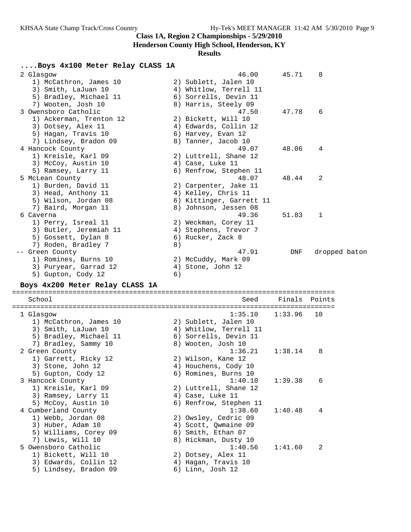**Henderson County High School, Henderson, KY**

# **Results**

# **....Boys 4x100 Meter Relay CLASS 1A**

| 2 Glasgow                       |    | 46.00                    | 45.71         | 8             |  |
|---------------------------------|----|--------------------------|---------------|---------------|--|
| 1) McCathron, James 10          |    | 2) Sublett, Jalen 10     |               |               |  |
| 3) Smith, LaJuan 10             |    | 4) Whitlow, Terrell 11   |               |               |  |
| 5) Bradley, Michael 11          |    | 6) Sorrells, Devin 11    |               |               |  |
| 7) Wooten, Josh 10              |    | 8) Harris, Steely 09     |               |               |  |
| 3 Owensboro Catholic            |    | 47.50                    | 47.78         | 6             |  |
| 1) Ackerman, Trenton 12         |    | 2) Bickett, Will 10      |               |               |  |
| 3) Dotsey, Alex 11              |    | 4) Edwards, Collin 12    |               |               |  |
| 5) Hagan, Travis 10             |    | 6) Harvey, Evan 12       |               |               |  |
| 7) Lindsey, Bradon 09           |    | 8) Tanner, Jacob 10      |               |               |  |
| 4 Hancock County                |    | 49.07                    | 48.06         | 4             |  |
| 1) Kreisle, Karl 09             |    | 2) Luttrell, Shane 12    |               |               |  |
| 3) McCoy, Austin 10             |    | 4) Case, Luke 11         |               |               |  |
| 5) Ramsey, Larry 11             |    | 6) Renfrow, Stephen 11   |               |               |  |
| 5 McLean County                 |    | 48.07                    | 48.44         | 2             |  |
| 1) Burden, David 11             |    | 2) Carpenter, Jake 11    |               |               |  |
|                                 |    |                          |               |               |  |
| 3) Head, Anthony 11             |    | 4) Kelley, Chris 11      |               |               |  |
| 5) Wilson, Jordan 08            |    | 6) Kittinger, Garrett 11 |               |               |  |
| 7) Baird, Morgan 11             |    | 8) Johnson, Jessen 08    |               |               |  |
| 6 Caverna                       |    | 49.36                    | 51.83         | 1             |  |
| 1) Perry, Isreal 11             |    | 2) Weckman, Corey 11     |               |               |  |
| 3) Butler, Jeremiah 11          |    | 4) Stephens, Trevor 7    |               |               |  |
| 5) Gossett, Dylan 8             |    | 6) Rucker, Zack 8        |               |               |  |
| 7) Roden, Bradley 7             | 8) |                          |               |               |  |
| -- Green County                 |    | 47.91                    | DNF           | dropped baton |  |
| 1) Romines, Burns 10            |    | 2) McCuddy, Mark 09      |               |               |  |
| 3) Puryear, Garrad 12           |    | 4) Stone, John 12        |               |               |  |
| 5) Gupton, Cody 12              | 6) |                          |               |               |  |
| Boys 4x200 Meter Relay CLASS 1A |    |                          |               |               |  |
|                                 |    |                          |               |               |  |
| School                          |    | Seed                     | Finals Points |               |  |
|                                 |    |                          |               |               |  |
| 1 Glasgow                       |    | 1:35.10                  | 1:33.96       | 10            |  |
| 1) McCathron, James 10          |    | 2) Sublett, Jalen 10     |               |               |  |
| 3) Smith, LaJuan 10             |    | 4) Whitlow, Terrell 11   |               |               |  |
| 5) Bradley, Michael 11          |    | 6) Sorrells, Devin 11    |               |               |  |
| 7) Bradley, Sammy 10            |    | 8) Wooten, Josh 10       |               |               |  |
| 2 Green County                  |    | 1:36.21                  | 1:38.14       | 8             |  |
| 1) Garrett, Ricky 12            |    | 2) Wilson, Kane 12       |               |               |  |
| 3) Stone, John 12               |    | 4) Houchens, Cody 10     |               |               |  |
| 5) Gupton, Cody 12              |    | 6) Romines, Burns 10     |               |               |  |
| 3 Hancock County                |    | 1:40.10                  | 1:39.38       | 6             |  |
| 1) Kreisle, Karl 09             |    | 2) Luttrell, Shane 12    |               |               |  |
| 3) Ramsey, Larry 11             |    | 4) Case, Luke 11         |               |               |  |
| 5) McCoy, Austin 10             |    | 6) Renfrow, Stephen 11   |               |               |  |
| 4 Cumberland County             |    | 1:38.60                  | 1:40.48       | 4             |  |
| 1) Webb, Jordan 08              |    | 2) Owsley, Cedric 09     |               |               |  |
| 3) Huber, Adam 10               |    | 4) Scott, Qwmaine 09     |               |               |  |
| 5) Williams, Corey 09           |    | 6) Smith, Ethan 07       |               |               |  |
| 7) Lewis, Will 10               |    | 8) Hickman, Dusty 10     |               |               |  |
| 5 Owensboro Catholic            |    | 1:40.56                  | 1:41.60       | 2             |  |
| 1) Bickett, Will 10             |    | 2) Dotsey, Alex 11       |               |               |  |
| 3) Edwards, Collin 12           |    | 4) Hagan, Travis 10      |               |               |  |
| 5) Lindsey, Bradon 09           |    | 6) Linn, Josh 12         |               |               |  |
|                                 |    |                          |               |               |  |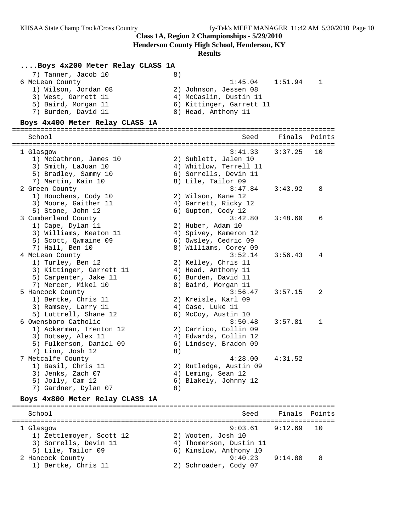**Henderson County High School, Henderson, KY**

# **Results**

# **....Boys 4x200 Meter Relay CLASS 1A**

| 7) Tanner, Jacob 10  |                          |  |
|----------------------|--------------------------|--|
| 6 McLean County      | 1:45.04<br>1:51.94       |  |
| 1) Wilson, Jordan 08 | 2) Johnson, Jessen 08    |  |
| 3) West, Garrett 11  | 4) McCaslin, Dustin 11   |  |
| 5) Baird, Morgan 11  | 6) Kittinger, Garrett 11 |  |
| 7) Burden, David 11  | 8) Head, Anthony 11      |  |

# **Boys 4x400 Meter Relay CLASS 1A**

| ===============<br>School       |    | ==========================<br>Seed | ==============<br>Finals | Points       |
|---------------------------------|----|------------------------------------|--------------------------|--------------|
| 1 Glasgow                       |    | 3:41.33                            | 3:37.25                  | 10           |
| 1) McCathron, James 10          |    | 2) Sublett, Jalen 10               |                          |              |
| 3) Smith, LaJuan 10             |    | 4) Whitlow, Terrell 11             |                          |              |
| 5) Bradley, Sammy 10            |    | 6) Sorrells, Devin 11              |                          |              |
| 7) Martin, Kain 10              |    | 8) Lile, Tailor 09                 |                          |              |
| 2 Green County                  |    | 3:47.84                            | 3:43.92                  | 8            |
| 1) Houchens, Cody 10            |    | 2) Wilson, Kane 12                 |                          |              |
| 3) Moore, Gaither 11            |    | 4) Garrett, Ricky 12               |                          |              |
| 5) Stone, John 12               |    | 6) Gupton, Cody 12                 |                          |              |
| 3 Cumberland County             |    | 3:42.80                            | 3:48.60                  | 6            |
| 1) Cape, Dylan 11               |    | 2) Huber, Adam 10                  |                          |              |
| 3) Williams, Keaton 11          |    | 4) Spivey, Kameron 12              |                          |              |
| 5) Scott, Qwmaine 09            |    | 6) Owsley, Cedric 09               |                          |              |
| 7) Hall, Ben 10                 |    | 8) Williams, Corey 09              |                          |              |
| 4 McLean County                 |    | 3:52.14                            | 3:56.43                  | 4            |
| 1) Turley, Ben 12               |    | 2) Kelley, Chris 11                |                          |              |
| 3) Kittinger, Garrett 11        |    | 4) Head, Anthony 11                |                          |              |
| 5) Carpenter, Jake 11           |    | 6) Burden, David 11                |                          |              |
| 7) Mercer, Mikel 10             |    | 8) Baird, Morgan 11                |                          |              |
| 5 Hancock County                |    | 3:56.47                            | 3:57.15                  | 2            |
| 1) Bertke, Chris 11             |    | 2) Kreisle, Karl 09                |                          |              |
| 3) Ramsey, Larry 11             |    | 4) Case, Luke 11                   |                          |              |
| 5) Luttrell, Shane 12           |    | 6) McCoy, Austin 10                |                          |              |
| 6 Owensboro Catholic            |    | 3:50.48                            | 3:57.81                  | $\mathbf{1}$ |
| 1) Ackerman, Trenton 12         |    | 2) Carrico, Collin 09              |                          |              |
| 3) Dotsey, Alex 11              |    | 4) Edwards, Collin 12              |                          |              |
| 5) Fulkerson, Daniel 09         |    | 6) Lindsey, Bradon 09              |                          |              |
| 7) Linn, Josh 12                | 8) |                                    |                          |              |
| 7 Metcalfe County               |    | 4:28.00                            | 4:31.52                  |              |
| 1) Basil, Chris 11              |    | 2) Rutledge, Austin 09             |                          |              |
| 3) Jenks, Zach 07               |    | 4) Leming, Sean 12                 |                          |              |
| 5) Jolly, Cam 12                |    | 6) Blakely, Johnny 12              |                          |              |
| 7) Gardner, Dylan 07            | 8) |                                    |                          |              |
| Boys 4x800 Meter Relay CLASS 1A |    |                                    |                          |              |
| School                          |    | Seed                               | Finals                   | Points       |
|                                 |    |                                    |                          |              |
| 1 Glasgow                       |    | 9:03.61                            | 9:12.69                  | 10           |

| T ATASAOM                |                         |         | — ⊥∪ |
|--------------------------|-------------------------|---------|------|
| 1) Zettlemoyer, Scott 12 | 2) Wooten, Josh 10      |         |      |
| 3) Sorrells, Devin 11    | 4) Thomerson, Dustin 11 |         |      |
| 5) Lile, Tailor 09       | 6) Kinslow, Anthony 10  |         |      |
| 2 Hancock County         | 9:40.23                 | 9:14.80 | 8    |
| 1) Bertke, Chris 11      | 2) Schroader, Cody 07   |         |      |
|                          |                         |         |      |